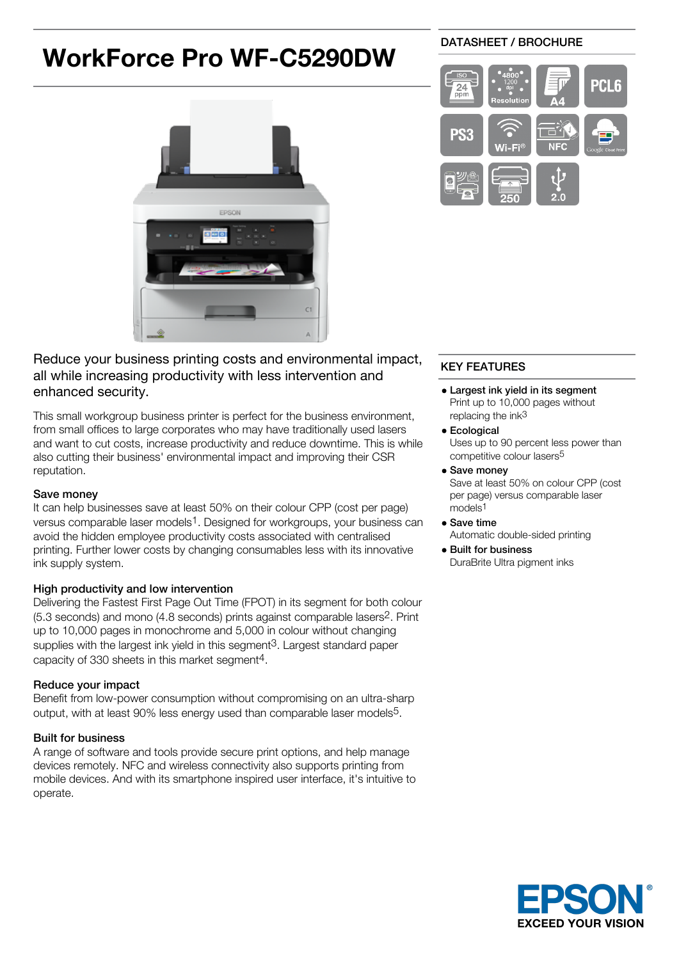# **WorkForce Pro WF-C5290DW**



# Reduce your business printing costs and environmental impact, all while increasing productivity with less intervention and enhanced security.

This small workgroup business printer is perfect for the business environment, from small offices to large corporates who may have traditionally used lasers and want to cut costs, increase productivity and reduce downtime. This is while also cutting their business' environmental impact and improving their CSR reputation.

## Save money

It can help businesses save at least 50% on their colour CPP (cost per page) versus comparable laser models<sup>1</sup>. Designed for workgroups, your business can avoid the hidden employee productivity costs associated with centralised printing. Further lower costs by changing consumables less with its innovative ink supply system.

# High productivity and low intervention

Delivering the Fastest First Page Out Time (FPOT) in its segment for both colour (5.3 seconds) and mono (4.8 seconds) prints against comparable lasers2. Print up to 10,000 pages in monochrome and 5,000 in colour without changing supplies with the largest ink yield in this segment<sup>3</sup>. Largest standard paper capacity of 330 sheets in this market segment4.

# Reduce your impact

Benefit from low-power consumption without compromising on an ultra-sharp output, with at least 90% less energy used than comparable laser models5.

# Built for business

A range of software and tools provide secure print options, and help manage devices remotely. NFC and wireless connectivity also supports printing from mobile devices. And with its smartphone inspired user interface, it's intuitive to operate.

## DATASHEET / BROCHURE



# KEY FEATURES

- Largest ink yield in its segment Print up to 10,000 pages without replacing the ink<sup>3</sup>
- **•** Ecological Uses up to 90 percent less power than competitive colour lasers5
- Save money

Save at least 50% on colour CPP (cost per page) versus comparable laser models1

- Save time
- Automatic double-sided printing
- Built for business DuraBrite Ultra pigment inks

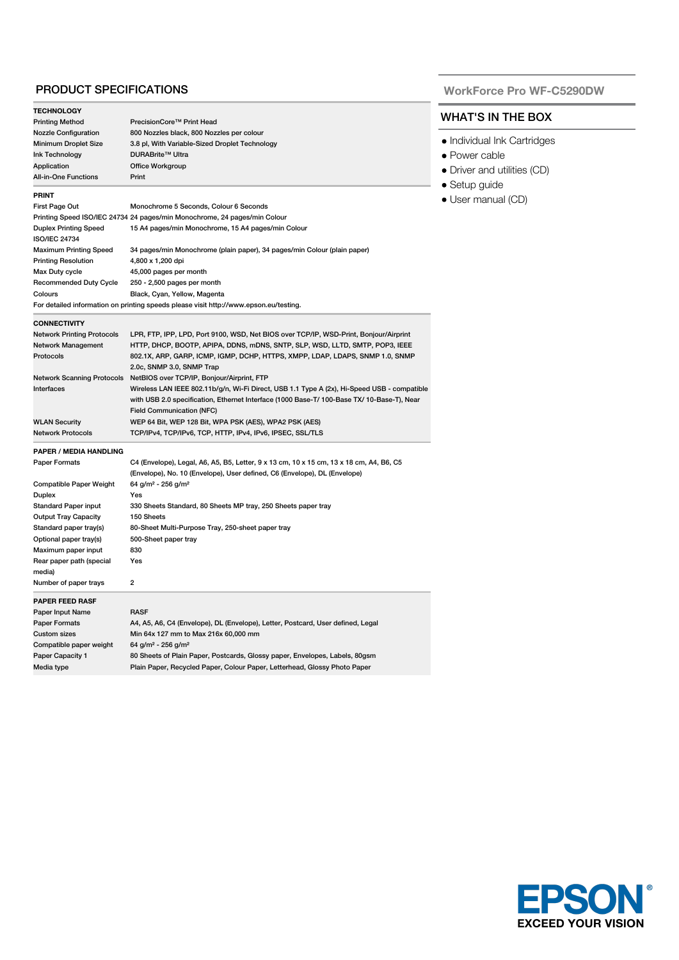### PRODUCT SPECIFICATIONS

| LPR, FTP, IPP, LPD, Port 9100, WSD, Net BIOS over TCP/IP, WSD-Print, Bonjour/Airprint       |
|---------------------------------------------------------------------------------------------|
| HTTP, DHCP, BOOTP, APIPA, DDNS, mDNS, SNTP, SLP, WSD, LLTD, SMTP, POP3, IEEE                |
| 802.1X, ARP, GARP, ICMP, IGMP, DCHP, HTTPS, XMPP, LDAP, LDAPS, SNMP 1.0, SNMP               |
|                                                                                             |
|                                                                                             |
| Wireless LAN IEEE 802.11b/g/n, Wi-Fi Direct, USB 1.1 Type A (2x), Hi-Speed USB - compatible |
| with USB 2.0 specification, Ethernet Interface (1000 Base-T/ 100-Base TX/ 10-Base-T), Near  |
|                                                                                             |
|                                                                                             |
|                                                                                             |
|                                                                                             |
| C4 (Envelope), Legal, A6, A5, B5, Letter, 9 x 13 cm, 10 x 15 cm, 13 x 18 cm, A4, B6, C5     |
|                                                                                             |
|                                                                                             |
|                                                                                             |
|                                                                                             |
|                                                                                             |
|                                                                                             |
|                                                                                             |
|                                                                                             |
|                                                                                             |
|                                                                                             |
|                                                                                             |
|                                                                                             |
|                                                                                             |
|                                                                                             |
|                                                                                             |
|                                                                                             |
|                                                                                             |
|                                                                                             |
|                                                                                             |
|                                                                                             |

#### **WorkForce Pro WF-C5290DW**

# WHAT'S IN THE BOX

- Individual Ink Cartridges
- Power cable
- Driver and utilities (CD)
- Setup guide
- User manual (CD)

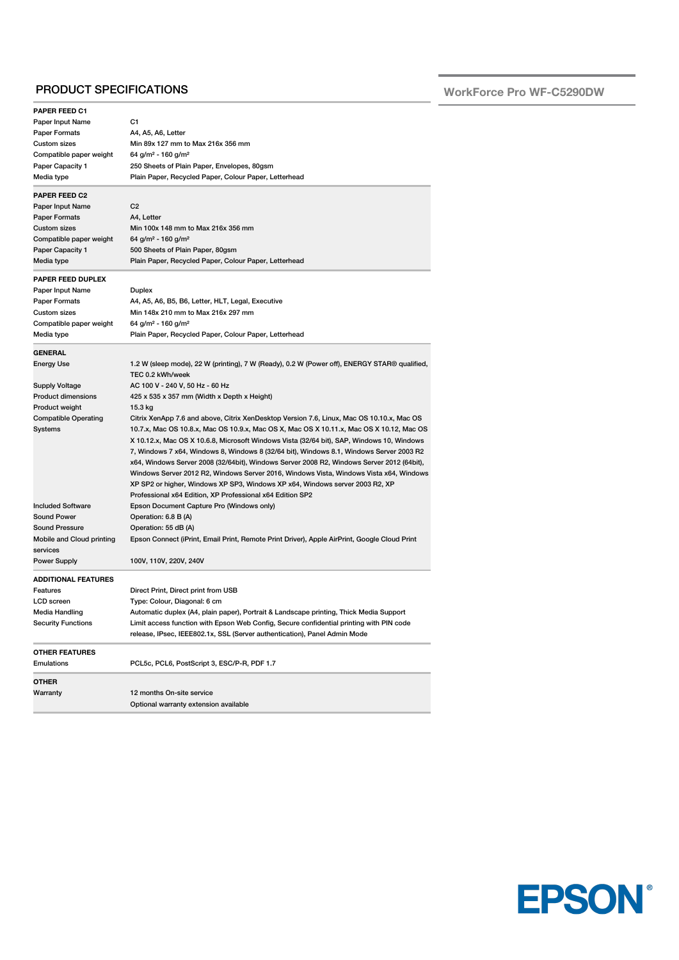## PRODUCT SPECIFICATIONS

**WorkForce Pro WF-C5290DW**

| PAPER FEED C1                                            |                                                                                              |  |  |
|----------------------------------------------------------|----------------------------------------------------------------------------------------------|--|--|
| Paper Input Name                                         | C1                                                                                           |  |  |
| <b>Paper Formats</b>                                     | A4, A5, A6, Letter                                                                           |  |  |
| <b>Custom sizes</b><br>Min 89x 127 mm to Max 216x 356 mm |                                                                                              |  |  |
| Compatible paper weight                                  | 64 g/m <sup>2</sup> - 160 g/m <sup>2</sup><br>250 Sheets of Plain Paper, Envelopes, 80gsm    |  |  |
| Paper Capacity 1                                         |                                                                                              |  |  |
| Media type                                               | Plain Paper, Recycled Paper, Colour Paper, Letterhead                                        |  |  |
| <b>PAPER FEED C2</b>                                     |                                                                                              |  |  |
| Paper Input Name                                         | C <sub>2</sub>                                                                               |  |  |
| <b>Paper Formats</b>                                     | A4, Letter                                                                                   |  |  |
| Custom sizes                                             | Min 100x 148 mm to Max 216x 356 mm                                                           |  |  |
| Compatible paper weight                                  | 64 g/m <sup>2</sup> - 160 g/m <sup>2</sup>                                                   |  |  |
| <b>Paper Capacity 1</b>                                  | 500 Sheets of Plain Paper, 80gsm                                                             |  |  |
| Media type                                               | Plain Paper, Recycled Paper, Colour Paper, Letterhead                                        |  |  |
|                                                          |                                                                                              |  |  |
| PAPER FEED DUPLEX                                        |                                                                                              |  |  |
| Paper Input Name                                         | Duplex                                                                                       |  |  |
| <b>Paper Formats</b>                                     | A4, A5, A6, B5, B6, Letter, HLT, Legal, Executive                                            |  |  |
| Custom sizes                                             | Min 148x 210 mm to Max 216x 297 mm                                                           |  |  |
| Compatible paper weight                                  | 64 g/m <sup>2</sup> - 160 g/m <sup>2</sup>                                                   |  |  |
| Media type                                               | Plain Paper, Recycled Paper, Colour Paper, Letterhead                                        |  |  |
| <b>GENERAL</b>                                           |                                                                                              |  |  |
| Energy Use                                               | 1.2 W (sleep mode), 22 W (printing), 7 W (Ready), 0.2 W (Power off), ENERGY STAR® qualified, |  |  |
|                                                          | TEC 0.2 kWh/week                                                                             |  |  |
| <b>Supply Voltage</b>                                    | AC 100 V - 240 V, 50 Hz - 60 Hz                                                              |  |  |
| <b>Product dimensions</b>                                | 425 x 535 x 357 mm (Width x Depth x Height)                                                  |  |  |
| Product weight                                           | 15.3 kg                                                                                      |  |  |
| <b>Compatible Operating</b>                              | Citrix XenApp 7.6 and above, Citrix XenDesktop Version 7.6, Linux, Mac OS 10.10.x, Mac OS    |  |  |
| Systems                                                  | 10.7.x, Mac OS 10.8.x, Mac OS 10.9.x, Mac OS X, Mac OS X 10.11.x, Mac OS X 10.12, Mac OS     |  |  |
|                                                          | X 10.12.x, Mac OS X 10.6.8, Microsoft Windows Vista (32/64 bit), SAP, Windows 10, Windows    |  |  |
|                                                          | 7, Windows 7 x64, Windows 8, Windows 8 (32/64 bit), Windows 8.1, Windows Server 2003 R2      |  |  |
|                                                          | x64, Windows Server 2008 (32/64bit), Windows Server 2008 R2, Windows Server 2012 (64bit),    |  |  |
|                                                          | Windows Server 2012 R2, Windows Server 2016, Windows Vista, Windows Vista x64, Windows       |  |  |
|                                                          | XP SP2 or higher, Windows XP SP3, Windows XP x64, Windows server 2003 R2, XP                 |  |  |
|                                                          | Professional x64 Edition, XP Professional x64 Edition SP2                                    |  |  |
| <b>Included Software</b>                                 | Epson Document Capture Pro (Windows only)                                                    |  |  |
| <b>Sound Power</b>                                       | Operation: 6.8 B (A)                                                                         |  |  |
| <b>Sound Pressure</b>                                    | Operation: 55 dB (A)                                                                         |  |  |
| Mobile and Cloud printing                                | Epson Connect (iPrint, Email Print, Remote Print Driver), Apple AirPrint, Google Cloud Print |  |  |
| services                                                 |                                                                                              |  |  |
| <b>Power Supply</b>                                      | 100V, 110V, 220V, 240V                                                                       |  |  |
| <b>ADDITIONAL FEATURES</b>                               |                                                                                              |  |  |
| Features                                                 | Direct Print, Direct print from USB                                                          |  |  |
| LCD screen                                               | Type: Colour, Diagonal: 6 cm                                                                 |  |  |
| Media Handling                                           | Automatic duplex (A4, plain paper), Portrait & Landscape printing, Thick Media Support       |  |  |
| <b>Security Functions</b>                                | Limit access function with Epson Web Config, Secure confidential printing with PIN code      |  |  |
|                                                          | release, IPsec, IEEE802.1x, SSL (Server authentication), Panel Admin Mode                    |  |  |
|                                                          |                                                                                              |  |  |
| <b>OTHER FEATURES</b><br><b>Emulations</b>               | PCL5c, PCL6, PostScript 3, ESC/P-R, PDF 1.7                                                  |  |  |
|                                                          |                                                                                              |  |  |
| <b>OTHER</b>                                             |                                                                                              |  |  |
| Warranty                                                 | 12 months On-site service                                                                    |  |  |
|                                                          | Optional warranty extension available                                                        |  |  |